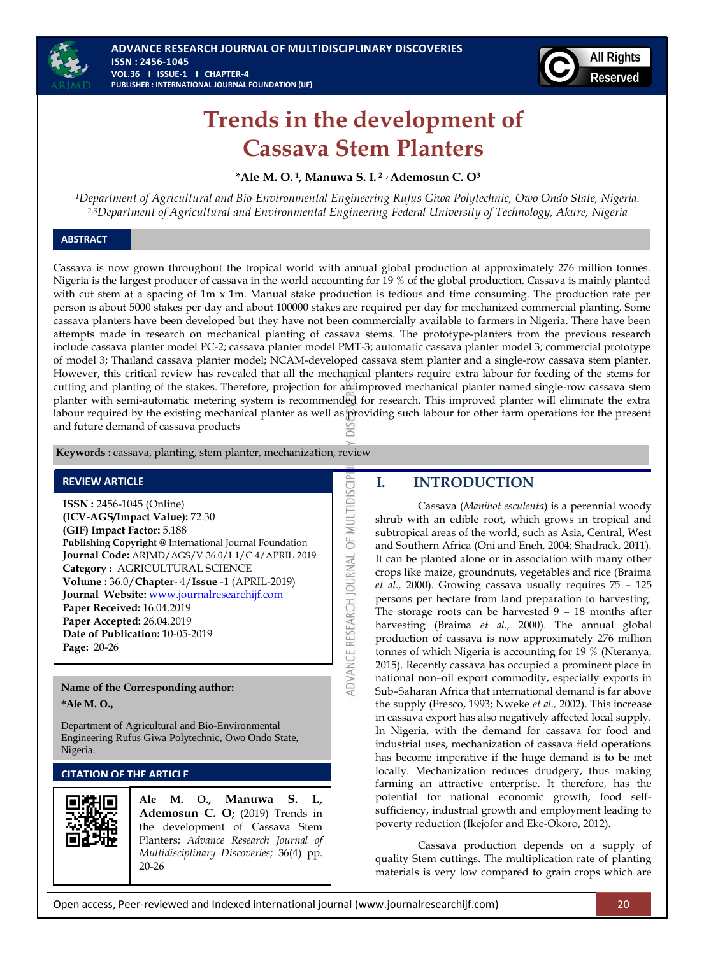

# **Trends in the development of Cassava Stem Planters**

# **\*Ale M. O. <sup>1</sup> , Manuwa S. I. 2 , Ademosun C. O<sup>3</sup>**

*<sup>1</sup>Department of Agricultural and Bio-Environmental Engineering Rufus Giwa Polytechnic, Owo Ondo State, Nigeria. 2,3Department of Agricultural and Environmental Engineering Federal University of Technology, Akure, Nigeria*

# **ABSTRACT**

Cassava is now grown throughout the tropical world with annual global production at approximately 276 million tonnes. Nigeria is the largest producer of cassava in the world accounting for 19 % of the global production. Cassava is mainly planted with cut stem at a spacing of 1m x 1m. Manual stake production is tedious and time consuming. The production rate per person is about 5000 stakes per day and about 100000 stakes are required per day for mechanized commercial planting. Some cassava planters have been developed but they have not been commercially available to farmers in Nigeria. There have been attempts made in research on mechanical planting of cassava stems. The prototype-planters from the previous research include cassava planter model PC-2; cassava planter model PMT-3; automatic cassava planter model 3; commercial prototype of model 3; Thailand cassava planter model; NCAM-developed cassava stem planter and a single-row cassava stem planter. However, this critical review has revealed that all the mechanical planters require extra labour for feeding of the stems for cutting and planting of the stakes. Therefore, projection for an improved mechanical planter named single-row cassava stem planter with semi-automatic metering system is recommended for research. This improved planter will eliminate the extra labour required by the existing mechanical planter as well as providing such labour for other farm operations for the present and future demand of cassava products

ADVANCE RESEARCH JOURNAL OF MULTIDISCIP

**Keywords :** cassava, planting, stem planter, mechanization, review

## **REVIEW ARTICLE**

**ISSN :** 2456-1045 (Online) **(ICV-AGS/Impact Value):** 72.30 **(GIF) Impact Factor:** 5.188 **Publishing Copyright @** International Journal Foundation **Journal Code:** ARJMD/AGS/V-36.0/I-1/C-4/APRIL-2019 **Category :** AGRICULTURAL SCIENCE **Volume :** 36.0/**Chapter**- 4/**Issue** -1 (APRIL-2019) **Journal Website:** [www.journalresearchijf.com](http://www.journalresearchijf.com/) **Paper Received:** 16.04.2019 **Paper Accepted:** 26.04.2019 **Date of Publication:** 10-05-2019 **Page:** 20-26

# **Name of the Corresponding author:**

**\*Ale M. O.,**

Department of Agricultural and Bio-Environmental Engineering Rufus Giwa Polytechnic, Owo Ondo State, Nigeria.

## **CITATION OF THE ARTICLE**



**Ale M. O., Manuwa S. I., Ademosun C. O;** (2019) Trends in the development of Cassava Stem Planters; *Advance Research Journal of Multidisciplinary Discoveries;* 36(4) pp. 20-26

# **I. INTRODUCTION**

Cassava (*Manihot esculenta*) is a perennial woody shrub with an edible root, which grows in tropical and subtropical areas of the world, such as Asia, Central, West and Southern Africa (Oni and Eneh, 2004; Shadrack, 2011). It can be planted alone or in association with many other crops like maize, groundnuts, vegetables and rice (Braima *et al.,* 2000). Growing cassava usually requires 75 – 125 persons per hectare from land preparation to harvesting. The storage roots can be harvested 9 – 18 months after harvesting (Braima *et al.,* 2000). The annual global production of cassava is now approximately 276 million tonnes of which Nigeria is accounting for 19 % (Nteranya, 2015). Recently cassava has occupied a prominent place in national non–oil export commodity, especially exports in Sub–Saharan Africa that international demand is far above the supply (Fresco, 1993; Nweke *et al.,* 2002). This increase in cassava export has also negatively affected local supply. In Nigeria, with the demand for cassava for food and industrial uses, mechanization of cassava field operations has become imperative if the huge demand is to be met locally. Mechanization reduces drudgery, thus making farming an attractive enterprise. It therefore, has the potential for national economic growth, food selfsufficiency, industrial growth and employment leading to poverty reduction (Ikejofor and Eke-Okoro, 2012).

Cassava production depends on a supply of quality Stem cuttings. The multiplication rate of planting materials is very low compared to grain crops which are

Open access, Peer-reviewed and Indexed international journal (www.journalresearchijf.com) 20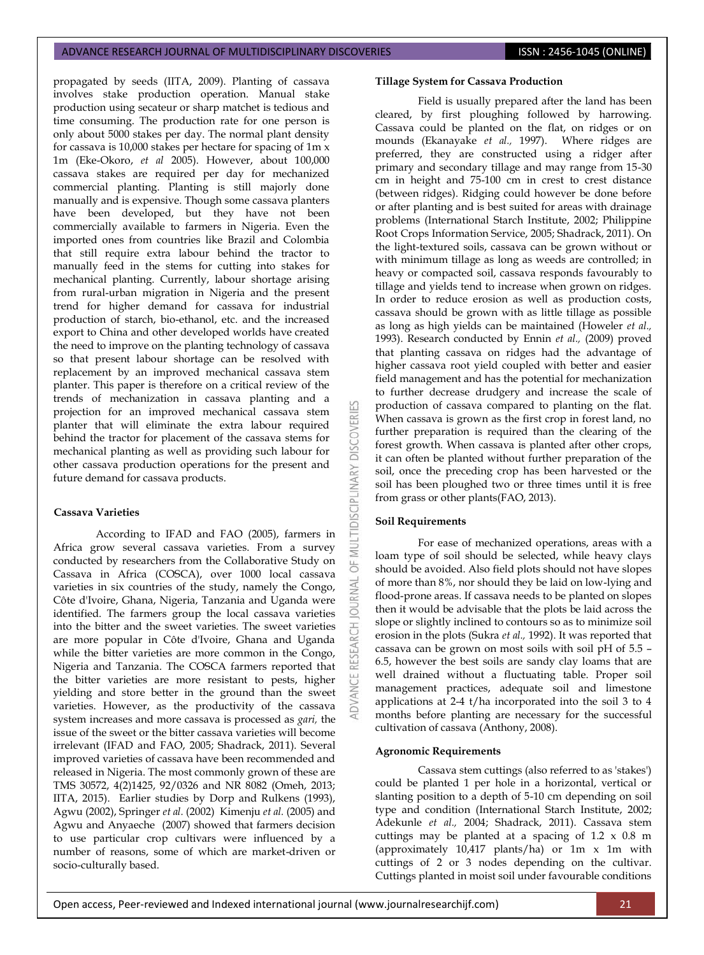propagated by seeds (IITA, 2009). Planting of cassava involves stake production operation. Manual stake production using secateur or sharp matchet is tedious and time consuming. The production rate for one person is only about 5000 stakes per day. The normal plant density for cassava is 10,000 stakes per hectare for spacing of 1m x 1m (Eke-Okoro, *et al* 2005). However, about 100,000 cassava stakes are required per day for mechanized commercial planting. Planting is still majorly done manually and is expensive. Though some cassava planters have been developed, but they have not been commercially available to farmers in Nigeria. Even the imported ones from countries like Brazil and Colombia that still require extra labour behind the tractor to manually feed in the stems for cutting into stakes for mechanical planting. Currently, labour shortage arising from rural-urban migration in Nigeria and the present trend for higher demand for cassava for industrial production of starch, bio-ethanol, etc. and the increased export to China and other developed worlds have created the need to improve on the planting technology of cassava so that present labour shortage can be resolved with replacement by an improved mechanical cassava stem planter. This paper is therefore on a critical review of the trends of mechanization in cassava planting and a projection for an improved mechanical cassava stem planter that will eliminate the extra labour required behind the tractor for placement of the cassava stems for mechanical planting as well as providing such labour for other cassava production operations for the present and future demand for cassava products.

**Cassava Varieties**

According to IFAD and FAO (2005), farmers in Africa grow several cassava varieties. From a survey conducted by researchers from the Collaborative Study on Cassava in Africa (COSCA), over 1000 local cassava varieties in six countries of the study, namely the Congo, Côte d'Ivoire, Ghana, Nigeria, Tanzania and Uganda were identified. The farmers group the local cassava varieties into the bitter and the sweet varieties. The sweet varieties are more popular in Côte d'Ivoire, Ghana and Uganda while the bitter varieties are more common in the Congo, Nigeria and Tanzania. The COSCA farmers reported that the bitter varieties are more resistant to pests, higher yielding and store better in the ground than the sweet varieties. However, as the productivity of the cassava system increases and more cassava is processed as *gari,* the issue of the sweet or the bitter cassava varieties will become irrelevant (IFAD and FAO, 2005; Shadrack, 2011). Several improved varieties of cassava have been recommended and released in Nigeria. The most commonly grown of these are TMS 30572, 4(2)1425, 92/0326 and NR 8082 (Omeh, 2013; IITA, 2015). Earlier studies by Dorp and Rulkens (1993), Agwu (2002), Springer *et al.* (2002) Kimenju *et al.* (2005) and Agwu and Anyaeche (2007) showed that farmers decision to use particular crop cultivars were influenced by a number of reasons, some of which are market-driven or socio-culturally based.

#### **Tillage System for Cassava Production**

Field is usually prepared after the land has been cleared, by first ploughing followed by harrowing. Cassava could be planted on the flat, on ridges or on mounds (Ekanayake *et al.,* 1997). Where ridges are preferred, they are constructed using a ridger after primary and secondary tillage and may range from 15-30 cm in height and 75-100 cm in crest to crest distance (between ridges). Ridging could however be done before or after planting and is best suited for areas with drainage problems (International Starch Institute, 2002; Philippine Root Crops Information Service, 2005; Shadrack, 2011). On the light-textured soils, cassava can be grown without or with minimum tillage as long as weeds are controlled; in heavy or compacted soil, cassava responds favourably to tillage and yields tend to increase when grown on ridges. In order to reduce erosion as well as production costs, cassava should be grown with as little tillage as possible as long as high yields can be maintained (Howeler *et al.,* 1993). Research conducted by Ennin *et al.,* (2009) proved that planting cassava on ridges had the advantage of higher cassava root yield coupled with better and easier field management and has the potential for mechanization to further decrease drudgery and increase the scale of production of cassava compared to planting on the flat. When cassava is grown as the first crop in forest land, no further preparation is required than the clearing of the forest growth. When cassava is planted after other crops, it can often be planted without further preparation of the soil, once the preceding crop has been harvested or the soil has been ploughed two or three times until it is free from grass or other plants(FAO, 2013).

## **Soil Requirements**

₩

**DISCOVERI** 

**IDISCIPLINARY** 

MULTI 5

3

For ease of mechanized operations, areas with a loam type of soil should be selected, while heavy clays should be avoided. Also field plots should not have slopes of more than 8%, nor should they be laid on low-lying and flood-prone areas. If cassava needs to be planted on slopes then it would be advisable that the plots be laid across the slope or slightly inclined to contours so as to minimize soil erosion in the plots (Sukra *et al.,* 1992). It was reported that cassava can be grown on most soils with soil pH of 5.5 – 6.5, however the best soils are sandy clay loams that are well drained without a fluctuating table. Proper soil management practices, adequate soil and limestone applications at 2-4 t/ha incorporated into the soil 3 to 4 months before planting are necessary for the successful cultivation of cassava (Anthony, 2008).

## **Agronomic Requirements**

Cassava stem cuttings (also referred to as 'stakes') could be planted 1 per hole in a horizontal, vertical or slanting position to a depth of 5-10 cm depending on soil type and condition (International Starch Institute, 2002; Adekunle *et al.,* 2004; Shadrack, 2011). Cassava stem cuttings may be planted at a spacing of 1.2 x 0.8 m (approximately 10,417 plants/ha) or 1m x 1m with cuttings of 2 or 3 nodes depending on the cultivar. Cuttings planted in moist soil under favourable conditions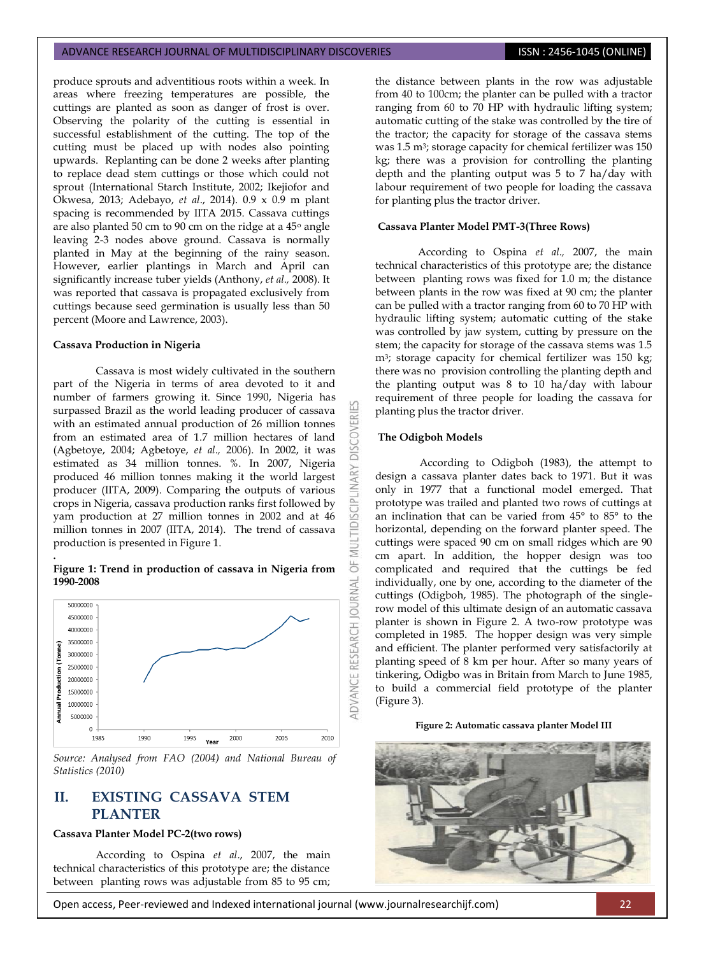produce sprouts and adventitious roots within a week. In areas where freezing temperatures are possible, the cuttings are planted as soon as danger of frost is over. Observing the polarity of the cutting is essential in successful establishment of the cutting. The top of the cutting must be placed up with nodes also pointing upwards. Replanting can be done 2 weeks after planting to replace dead stem cuttings or those which could not sprout (International Starch Institute, 2002; Ikejiofor and Okwesa, 2013; Adebayo, *et al*., 2014). 0.9 x 0.9 m plant spacing is recommended by IITA 2015. Cassava cuttings are also planted 50 cm to 90 cm on the ridge at a 45<sup>o</sup> angle leaving 2-3 nodes above ground. Cassava is normally planted in May at the beginning of the rainy season. However, earlier plantings in March and April can significantly increase tuber yields (Anthony, *et al.,* 2008). It was reported that cassava is propagated exclusively from cuttings because seed germination is usually less than 50 percent (Moore and Lawrence, 2003).

#### **Cassava Production in Nigeria**

**.**

Cassava is most widely cultivated in the southern part of the Nigeria in terms of area devoted to it and number of farmers growing it. Since 1990, Nigeria has surpassed Brazil as the world leading producer of cassava with an estimated annual production of 26 million tonnes from an estimated area of 1.7 million hectares of land (Agbetoye, 2004; Agbetoye, *et al.,* 2006). In 2002, it was estimated as 34 million tonnes. %. In 2007, Nigeria produced 46 million tonnes making it the world largest producer (IITA, 2009). Comparing the outputs of various crops in Nigeria, cassava production ranks first followed by yam production at 27 million tonnes in 2002 and at 46 million tonnes in 2007 (IITA, 2014). The trend of cassava production is presented in Figure 1.

## **Figure 1: Trend in production of cassava in Nigeria from 1990-2008**



*Source: Analysed from FAO (2004) and National Bureau of Statistics (2010)*

# **II. EXISTING CASSAVA STEM PLANTER**

## **Cassava Planter Model PC-2(two rows)**

According to Ospina *et al*., 2007, the main technical characteristics of this prototype are; the distance between planting rows was adjustable from 85 to 95 cm;

the distance between plants in the row was adjustable from 40 to 100cm; the planter can be pulled with a tractor ranging from 60 to 70 HP with hydraulic lifting system; automatic cutting of the stake was controlled by the tire of the tractor; the capacity for storage of the cassava stems was 1.5 m3; storage capacity for chemical fertilizer was 150 kg; there was a provision for controlling the planting depth and the planting output was 5 to  $\frac{7}{7}$  ha/day with labour requirement of two people for loading the cassava for planting plus the tractor driver.

#### **Cassava Planter Model PMT-3(Three Rows)**

According to Ospina *et al.,* 2007, the main technical characteristics of this prototype are; the distance between planting rows was fixed for 1.0 m; the distance between plants in the row was fixed at 90 cm; the planter can be pulled with a tractor ranging from 60 to 70 HP with hydraulic lifting system; automatic cutting of the stake was controlled by jaw system, cutting by pressure on the stem; the capacity for storage of the cassava stems was 1.5 m3; storage capacity for chemical fertilizer was 150 kg; there was no provision controlling the planting depth and the planting output was 8 to 10 ha/day with labour requirement of three people for loading the cassava for planting plus the tractor driver.

#### **The Odigboh Models**

**DISCOVERI** 

**IDISCIPLINA** 

ö

According to Odigboh (1983), the attempt to design a cassava planter dates back to 1971. But it was only in 1977 that a functional model emerged. That prototype was trailed and planted two rows of cuttings at an inclination that can be varied from 45° to 85° to the horizontal, depending on the forward planter speed. The cuttings were spaced 90 cm on small ridges which are 90 cm apart. In addition, the hopper design was too complicated and required that the cuttings be fed individually, one by one, according to the diameter of the cuttings (Odigboh, 1985). The photograph of the singlerow model of this ultimate design of an automatic cassava planter is shown in Figure 2. A two-row prototype was completed in 1985. The hopper design was very simple and efficient. The planter performed very satisfactorily at planting speed of 8 km per hour. After so many years of tinkering, Odigbo was in Britain from March to June 1985, to build a commercial field prototype of the planter (Figure 3).

#### **Figure 2: Automatic cassava planter Model III**



Open access, Peer-reviewed and Indexed international journal (www.journalresearchijf.com) 22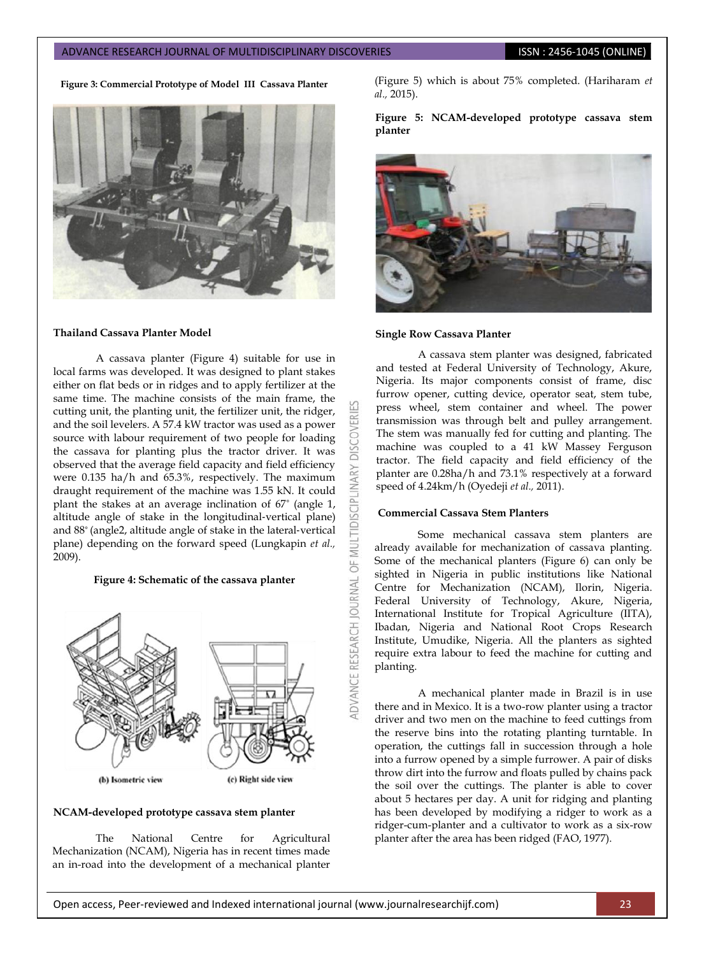**Figure 3: Commercial Prototype of Model III Cassava Planter**



## **Thailand Cassava Planter Model**

A cassava planter (Figure 4) suitable for use in local farms was developed. It was designed to plant stakes either on flat beds or in ridges and to apply fertilizer at the same time. The machine consists of the main frame, the cutting unit, the planting unit, the fertilizer unit, the ridger, and the soil levelers. A 57.4 kW tractor was used as a power source with labour requirement of two people for loading the cassava for planting plus the tractor driver. It was observed that the average field capacity and field efficiency were 0.135 ha/h and 65.3%, respectively. The maximum draught requirement of the machine was 1.55 kN. It could plant the stakes at an average inclination of 67° (angle 1, altitude angle of stake in the longitudinal‐vertical plane) and 88° (angle2, altitude angle of stake in the lateral‐vertical plane) depending on the forward speed (Lungkapin *et al.,* 2009).

## **Figure 4: Schematic of the cassava planter**



(b) Isometric view

(c) Right side view

## **NCAM-developed prototype cassava stem planter**

The National Centre for Agricultural Mechanization (NCAM), Nigeria has in recent times made an in-road into the development of a mechanical planter

(Figure 5) which is about 75% completed. (Hariharam *et al.,* 2015).

## **Figure 5: NCAM-developed prototype cassava stem planter**



#### **Single Row Cassava Planter**

**COVERI** 

DISC

**MULTIDISCIPLINARY** 

0F

DVANCE RESEARCH JOURNAL

A cassava stem planter was designed, fabricated and tested at Federal University of Technology, Akure, Nigeria. Its major components consist of frame, disc furrow opener, cutting device, operator seat, stem tube, press wheel, stem container and wheel. The power transmission was through belt and pulley arrangement. The stem was manually fed for cutting and planting. The machine was coupled to a 41 kW Massey Ferguson tractor. The field capacity and field efficiency of the planter are 0.28ha/h and 73.1% respectively at a forward speed of 4.24km/h (Oyedeji *et al.,* 2011).

#### **Commercial Cassava Stem Planters**

Some mechanical cassava stem planters are already available for mechanization of cassava planting. Some of the mechanical planters (Figure 6) can only be sighted in Nigeria in public institutions like National Centre for Mechanization (NCAM), Ilorin, Nigeria. Federal University of Technology, Akure, Nigeria, International Institute for Tropical Agriculture (IITA), Ibadan, Nigeria and National Root Crops Research Institute, Umudike, Nigeria. All the planters as sighted require extra labour to feed the machine for cutting and planting.

A mechanical planter made in Brazil is in use there and in Mexico. It is a two-row planter using a tractor driver and two men on the machine to feed cuttings from the reserve bins into the rotating planting turntable. In operation, the cuttings fall in succession through a hole into a furrow opened by a simple furrower. A pair of disks throw dirt into the furrow and floats pulled by chains pack the soil over the cuttings. The planter is able to cover about 5 hectares per day. A unit for ridging and planting has been developed by modifying a ridger to work as a ridger-cum-planter and a cultivator to work as a six-row planter after the area has been ridged (FAO, 1977).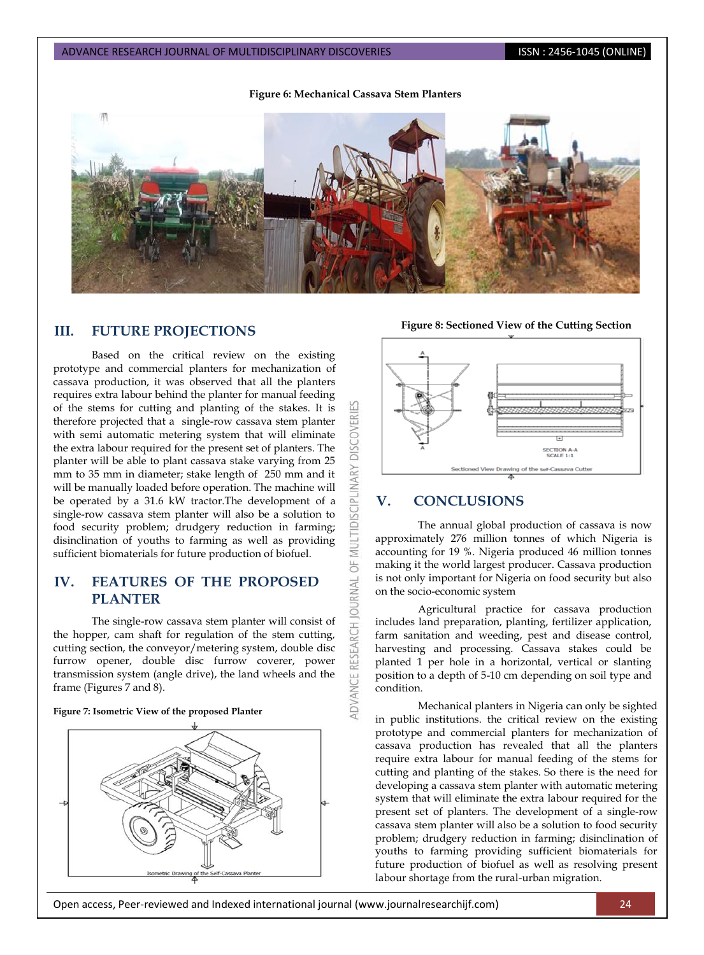

COVERII

DISC

MULTIDISCIPLINARY

 $\overline{6}$ **JRNAL** jon

**ADVANCE RESEARCH** 

# **III. FUTURE PROJECTIONS**

Based on the critical review on the existing prototype and commercial planters for mechanization of cassava production, it was observed that all the planters requires extra labour behind the planter for manual feeding of the stems for cutting and planting of the stakes. It is therefore projected that a single-row cassava stem planter with semi automatic metering system that will eliminate the extra labour required for the present set of planters. The planter will be able to plant cassava stake varying from 25 mm to 35 mm in diameter; stake length of 250 mm and it will be manually loaded before operation. The machine will be operated by a 31.6 kW tractor.The development of a single-row cassava stem planter will also be a solution to food security problem; drudgery reduction in farming; disinclination of youths to farming as well as providing sufficient biomaterials for future production of biofuel.

# **IV. FEATURES OF THE PROPOSED PLANTER**

The single-row cassava stem planter will consist of the hopper, cam shaft for regulation of the stem cutting, cutting section, the conveyor/metering system, double disc furrow opener, double disc furrow coverer, power transmission system (angle drive), the land wheels and the frame (Figures 7 and 8).





**Figure 8: Sectioned View of the Cutting Section**



# **V. CONCLUSIONS**

The annual global production of cassava is now approximately 276 million tonnes of which Nigeria is accounting for 19 %. Nigeria produced 46 million tonnes making it the world largest producer. Cassava production is not only important for Nigeria on food security but also on the socio-economic system

Agricultural practice for cassava production includes land preparation, planting, fertilizer application, farm sanitation and weeding, pest and disease control, harvesting and processing. Cassava stakes could be planted 1 per hole in a horizontal, vertical or slanting position to a depth of 5-10 cm depending on soil type and condition.

Mechanical planters in Nigeria can only be sighted in public institutions. the critical review on the existing prototype and commercial planters for mechanization of cassava production has revealed that all the planters require extra labour for manual feeding of the stems for cutting and planting of the stakes. So there is the need for developing a cassava stem planter with automatic metering system that will eliminate the extra labour required for the present set of planters. The development of a single-row cassava stem planter will also be a solution to food security problem; drudgery reduction in farming; disinclination of youths to farming providing sufficient biomaterials for future production of biofuel as well as resolving present labour shortage from the rural-urban migration.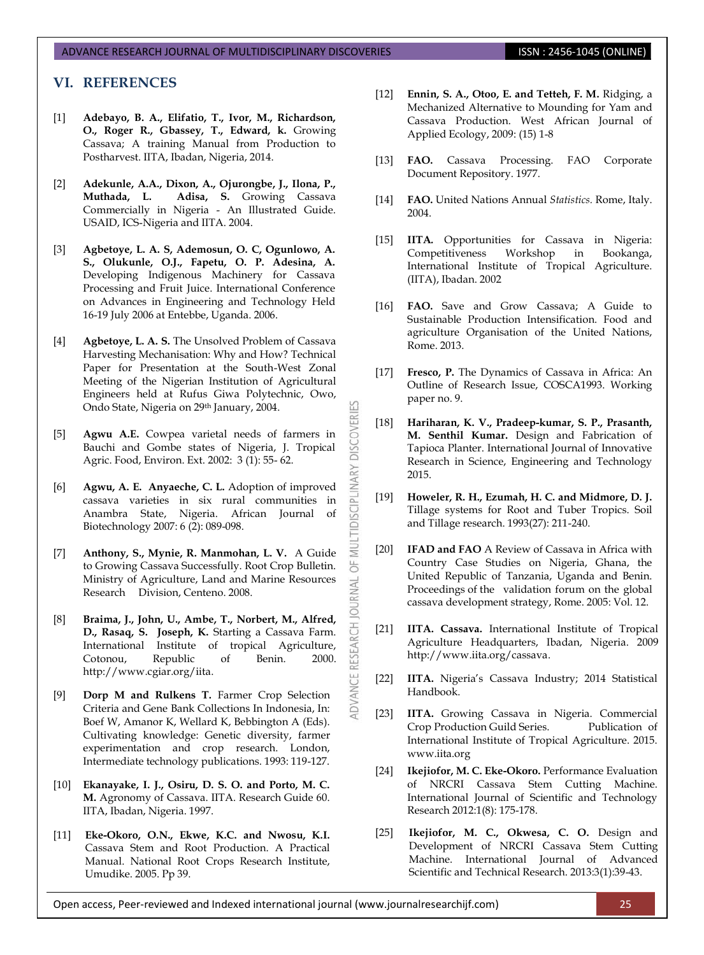# **VI. REFERENCES**

- [1] **Adebayo, B. A., Elifatio, T., Ivor, M., Richardson, O., Roger R., Gbassey, T., Edward, k.** Growing Cassava; A training Manual from Production to Postharvest. IITA, Ibadan, Nigeria, 2014.
- [2] **Adekunle, A.A., Dixon, A., Ojurongbe, J., Ilona, P.,**  Muthada, L. Adisa, S. Growing Cassava Commercially in Nigeria - An Illustrated Guide. USAID, ICS-Nigeria and IITA. 2004.
- [3] **Agbetoye, L. A. S, Ademosun, O. C, Ogunlowo, A. S., Olukunle, O.J., Fapetu, O. P. Adesina, A.**  Developing Indigenous Machinery for Cassava Processing and Fruit Juice. International Conference on Advances in Engineering and Technology Held 16-19 July 2006 at Entebbe, Uganda. 2006.
- [4] **Agbetoye, L. A. S.** The Unsolved Problem of Cassava Harvesting Mechanisation: Why and How? Technical Paper for Presentation at the South-West Zonal Meeting of the Nigerian Institution of Agricultural Engineers held at Rufus Giwa Polytechnic, Owo, Ondo State, Nigeria on 29th January, 2004.
- [5] **Agwu A.E.** Cowpea varietal needs of farmers in Bauchi and Gombe states of Nigeria, J. Tropical Agric. Food, Environ. Ext. 2002: 3 (1): 55- 62.

**DISCOVERI** 

**IDISCIPLINARY** 

₹ 5

**JOURNAL** 

RESEARCH

**IDVANCE** 

- [6] **Agwu, A. E. Anyaeche, C. L.** Adoption of improved cassava varieties in six rural communities in Anambra State, Nigeria. African Journal of Biotechnology 2007: 6 (2): 089-098.
- [7] **Anthony, S., Mynie, R. Manmohan, L. V.** A Guide to Growing Cassava Successfully. Root Crop Bulletin. Ministry of Agriculture, Land and Marine Resources Research Division, Centeno. 2008.
- [8] **Braima, J., John, U., Ambe, T., Norbert, M., Alfred, D., Rasaq, S. Joseph, K.** Starting a Cassava Farm. International Institute of tropical Agriculture, Cotonou, Republic of Benin. 2000. [http://www.cgiar.org/iita.](http://www.cgiar.org/iita)
- [9] **Dorp M and Rulkens T.** Farmer Crop Selection Criteria and Gene Bank Collections In Indonesia, In: Boef W, Amanor K, Wellard K, Bebbington A (Eds). Cultivating knowledge: Genetic diversity, farmer experimentation and crop research. London, Intermediate technology publications. 1993: 119-127.
- [10] **Ekanayake, I. J., Osiru, D. S. O. and Porto, M. C. M.** Agronomy of Cassava. IITA. Research Guide 60. IITA, Ibadan, Nigeria. 1997.
- [11] **Eke-Okoro, O.N., Ekwe, K.C. and Nwosu, K.I.**  Cassava Stem and Root Production. A Practical Manual. National Root Crops Research Institute, Umudike. 2005. Pp 39.
- [12] **Ennin, S. A., Otoo, E. and Tetteh, F. M.** Ridging, a Mechanized Alternative to Mounding for Yam and Cassava Production. West African Journal of Applied Ecology, 2009: (15) 1-8
- [13] **FAO.** Cassava Processing. FAO Corporate Document Repository. 1977.
- [14] **FAO.** United Nations Annual *Statistics.* Rome, Italy. 2004.
- [15] **IITA***.* Opportunities for Cassava in Nigeria: Competitiveness Workshop in Bookanga, International Institute of Tropical Agriculture. (IITA), Ibadan. 2002
- [16] **FAO.** Save and Grow Cassava; A Guide to Sustainable Production Intensification. Food and agriculture Organisation of the United Nations, Rome. 2013.
- [17] **Fresco, P.** The Dynamics of Cassava in Africa: An Outline of Research Issue, COSCA1993. Working paper no. 9.
- [18] **Hariharan, K. V., Pradeep-kumar, S. P., Prasanth, M. Senthil Kumar.** Design and Fabrication of Tapioca Planter. International Journal of Innovative Research in Science, Engineering and Technology 2015.
- [19] **Howeler, R. H., Ezumah, H. C. and Midmore, D. J.** Tillage systems for Root and Tuber Tropics. Soil and Tillage research. 1993(27): 211-240.
- [20] **IFAD and FAO** A Review of Cassava in Africa with Country Case Studies on Nigeria, Ghana, the United Republic of Tanzania, Uganda and Benin. Proceedings of the validation forum on the global cassava development strategy, Rome. 2005: Vol. 12.
- [21] **IITA. Cassava.** International Institute of Tropical Agriculture Headquarters, Ibadan, Nigeria. 2009 [http://www.iita.org/cassava.](http://www.iita.org/cassava)
- [22] **IITA.** Nigeria's Cassava Industry; 2014 Statistical Handbook.
- [23] **IITA.** Growing Cassava in Nigeria. Commercial Crop Production Guild Series. Publication of International Institute of Tropical Agriculture. 2015. [www.iita.org](http://www.iita.org/)
- [24] **Ikejiofor, M. C. Eke-Okoro.** Performance Evaluation of NRCRI Cassava Stem Cutting Machine. International Journal of Scientific and Technology Research 2012:1(8): 175-178.
- [25] **Ikejiofor, M. C., Okwesa, C. O.** Design and Development of NRCRI Cassava Stem Cutting Machine. International Journal of Advanced Scientific and Technical Research. 2013:3(1):39-43.